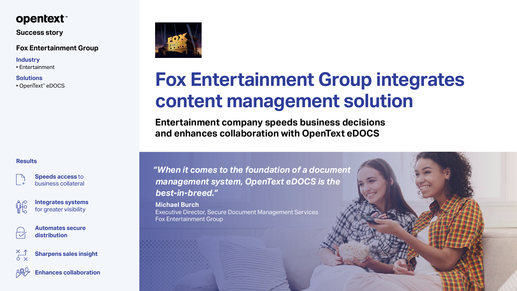*"When it comes to the foundation of a document management system, OpenText eDOCS is the best-in-breed."*

**Michael Burch**  Executive Director, Secure Document Management Services Fox Entertainment Group



# **Fox Entertainment Group integrates content management solution**

**Entertainment company speeds business decisions and enhances collaboration with OpenText eDOCS** 



## **Success story**

**Speeds access** to business collateral

**Integrates systems** for greater visibility







**Sharpens sales insight**



**Enhances collaboration**



# **Fox Entertainment Group**

#### **Industry**

• Entertainment

## **Solutions**

• OpenText™ eDOCS

## **Results**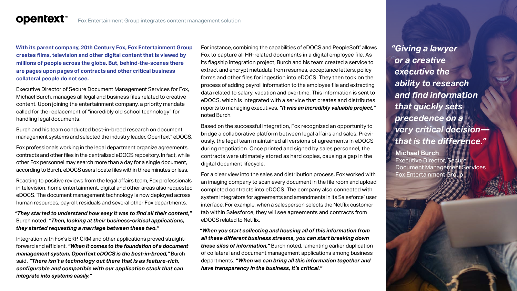**With its parent company, 20th Century Fox, Fox Entertainment Group creates films, television and other digital content that is viewed by millions of people across the globe. But, behind-the-scenes there are pages upon pages of contracts and other critical business collateral people do not see.** 

**opentext™** 

Burch and his team conducted best-in-breed research on document management systems and selected the industry leader, OpenText<sup>™</sup> eDOCS.

Executive Director of Secure Document Management Services for Fox, Michael Burch, manages all legal and business files related to creative content. Upon joining the entertainment company, a priority mandate called for the replacement of "incredibly old school technology" for handling legal documents.

Fox professionals working in the legal department organize agreements, contracts and other files in the centralized eDOCS repository. In fact, while other Fox personnel may search more than a day for a single document, according to Burch, eDOCS users locate files within three minutes or less.

Reacting to positive reviews from the legal affairs team, Fox professionals in television, home entertainment, digital and other areas also requested eDOCS. The document management technology is now deployed across human resources, payroll, residuals and several other Fox departments.

For instance, combining the capabilities of  $\operatorname{eDOCS}$  and  $\operatorname{PeopleSoft}$  allows Fox to capture all HR-related documents in a digital employee file. As its flagship integration project, Burch and his team created a service to extract and encrypt metadata from resumes, acceptance letters, policy forms and other files for ingestion into eDOCS. They then took on the process of adding payroll information to the employee file and extracting data related to salary, vacation and overtime. This information is sent to eDOCS, which is integrated with a service that creates and distributes reports to managing executives. *"It was an incredibly valuable project,"* noted Burch.

#### *"They started to understand how easy it was to find all their content,"* Burch noted. *"Then, looking at their business-critical applications, they started requesting a marriage between these two."*

Integration with Fox's ERP, CRM and other applications proved straightforward and efficient. *"When it comes to the foundation of a document management system, OpenText eDOCS is the best-in-breed,"* Burch said. *"There isn't a technology out there that is as feature-rich, configurable and compatible with our application stack that can integrate into systems easily."*

Based on the successful integration, Fox recognized an opportunity to bridge a collaborative platform between legal affairs and sales. Previously, the legal team maintained all versions of agreements in eDOCS during negotiation. Once printed and signed by sales personnel, the contracts were ultimately stored as hard copies, causing a gap in the digital document lifecycle.

For a clear view into the sales and distribution process, Fox worked with an imaging company to scan every document in the file room and upload completed contracts into eDOCS. The company also connected with system integrators for agreements and amendments in its Salesforce® user interface. For example, when a salesperson selects the Netflix customer tab within Salesforce, they will see agreements and contracts from eDOCS related to Netflix.

*"When you start collecting and housing all of this information from all these different business streams, you can start breaking down these silos of information,"* Burch noted, lamenting earlier duplication of collateral and document management applications among business departments. *"When we can bring all this information together and have transparency in the business, it's critical."*

*"Giving a lawyer or a creative executive the ability to research and find information that quickly sets precedence on a very critical decision that is the difference."*

**Michael Burch**  Executive Director, Secure Document Management Services Fox Entertainment Group

 $\sqrt{2}$